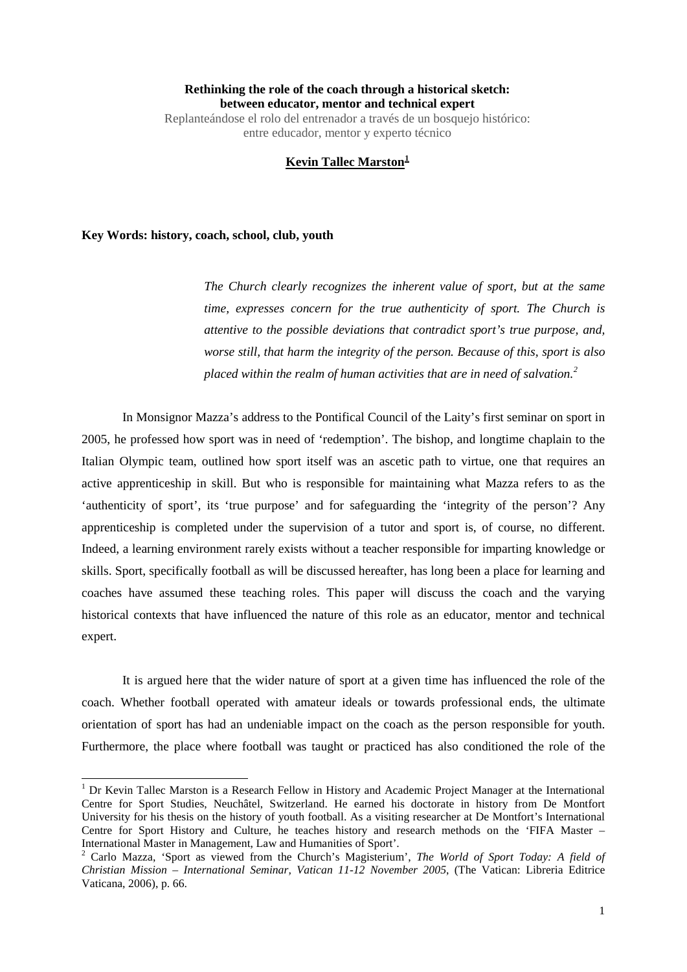# **Rethinking the role of the coach through a historical sketch: between educator, mentor and technical expert**

Replanteándose el rolo del entrenador a través de un bosquejo histórico: entre educador, mentor y experto técnico

## **Kevin Tallec Marston[1](#page-0-0)**

**Key Words: history, coach, school, club, youth**

*The Church clearly recognizes the inherent value of sport, but at the same time, expresses concern for the true authenticity of sport. The Church is attentive to the possible deviations that contradict sport's true purpose, and, worse still, that harm the integrity of the person. Because of this, sport is also placed within the realm of human activities that are in need of salvation.[2](#page-0-1)*

In Monsignor Mazza's address to the Pontifical Council of the Laity's first seminar on sport in 2005, he professed how sport was in need of 'redemption'. The bishop, and longtime chaplain to the Italian Olympic team, outlined how sport itself was an ascetic path to virtue, one that requires an active apprenticeship in skill. But who is responsible for maintaining what Mazza refers to as the 'authenticity of sport', its 'true purpose' and for safeguarding the 'integrity of the person'? Any apprenticeship is completed under the supervision of a tutor and sport is, of course, no different. Indeed, a learning environment rarely exists without a teacher responsible for imparting knowledge or skills. Sport, specifically football as will be discussed hereafter, has long been a place for learning and coaches have assumed these teaching roles. This paper will discuss the coach and the varying historical contexts that have influenced the nature of this role as an educator, mentor and technical expert.

It is argued here that the wider nature of sport at a given time has influenced the role of the coach. Whether football operated with amateur ideals or towards professional ends, the ultimate orientation of sport has had an undeniable impact on the coach as the person responsible for youth. Furthermore, the place where football was taught or practiced has also conditioned the role of the

<span id="page-0-0"></span><sup>&</sup>lt;sup>1</sup> Dr Kevin Tallec Marston is a Research Fellow in History and Academic Project Manager at the International Centre for Sport Studies, Neuchâtel, Switzerland. He earned his doctorate in history from De Montfort University for his thesis on the history of youth football. As a visiting researcher at De Montfort's International Centre for Sport History and Culture, he teaches history and research methods on the 'FIFA Master – International Master in Management, Law and Humanities of Sport'.

<span id="page-0-1"></span><sup>2</sup> Carlo Mazza, 'Sport as viewed from the Church's Magisterium', *The World of Sport Today: A field of Christian Mission – International Seminar, Vatican 11-12 November 2005*, (The Vatican: Libreria Editrice Vaticana, 2006), p. 66.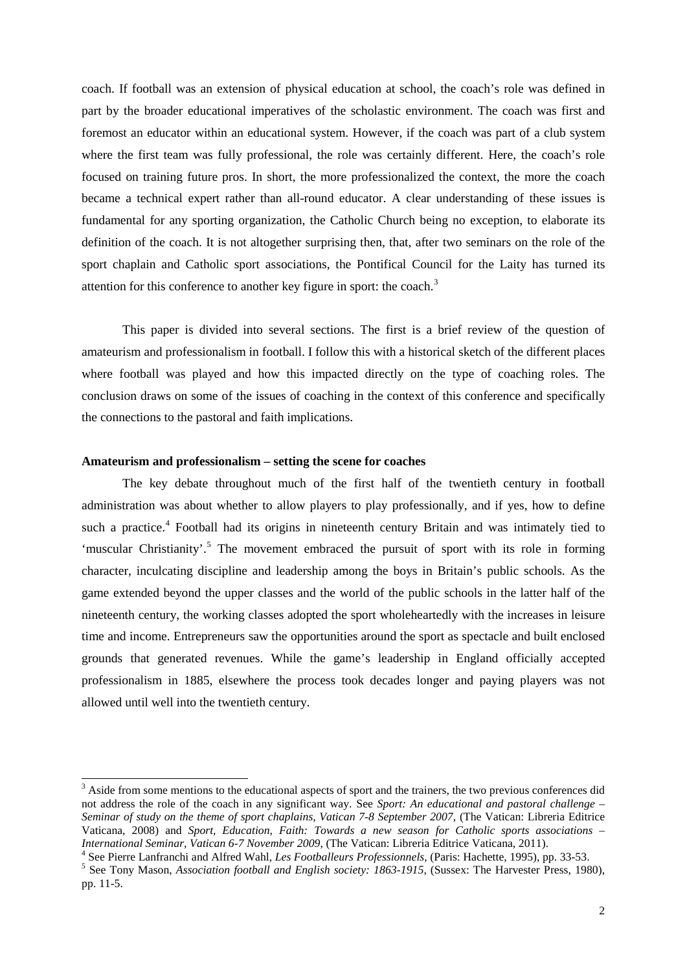coach. If football was an extension of physical education at school, the coach's role was defined in part by the broader educational imperatives of the scholastic environment. The coach was first and foremost an educator within an educational system. However, if the coach was part of a club system where the first team was fully professional, the role was certainly different. Here, the coach's role focused on training future pros. In short, the more professionalized the context, the more the coach became a technical expert rather than all-round educator. A clear understanding of these issues is fundamental for any sporting organization, the Catholic Church being no exception, to elaborate its definition of the coach. It is not altogether surprising then, that, after two seminars on the role of the sport chaplain and Catholic sport associations, the Pontifical Council for the Laity has turned its attention for this conference to another key figure in sport: the coach.<sup>[3](#page-1-0)</sup>

This paper is divided into several sections. The first is a brief review of the question of amateurism and professionalism in football. I follow this with a historical sketch of the different places where football was played and how this impacted directly on the type of coaching roles. The conclusion draws on some of the issues of coaching in the context of this conference and specifically the connections to the pastoral and faith implications.

### **Amateurism and professionalism – setting the scene for coaches**

 $\overline{a}$ 

The key debate throughout much of the first half of the twentieth century in football administration was about whether to allow players to play professionally, and if yes, how to define such a practice.<sup>[4](#page-1-1)</sup> Football had its origins in nineteenth century Britain and was intimately tied to 'muscular Christianity'.<sup>[5](#page-1-2)</sup> The movement embraced the pursuit of sport with its role in forming character, inculcating discipline and leadership among the boys in Britain's public schools. As the game extended beyond the upper classes and the world of the public schools in the latter half of the nineteenth century, the working classes adopted the sport wholeheartedly with the increases in leisure time and income. Entrepreneurs saw the opportunities around the sport as spectacle and built enclosed grounds that generated revenues. While the game's leadership in England officially accepted professionalism in 1885, elsewhere the process took decades longer and paying players was not allowed until well into the twentieth century.

<span id="page-1-0"></span> $3$  Aside from some mentions to the educational aspects of sport and the trainers, the two previous conferences did not address the role of the coach in any significant way. See *Sport: An educational and pastoral challenge – Seminar of study on the theme of sport chaplains, Vatican 7-8 September 2007*, (The Vatican: Libreria Editrice Vaticana, 2008) and *Sport, Education, Faith: Towards a new season for Catholic sports associations –*

<span id="page-1-2"></span>

<span id="page-1-1"></span><sup>&</sup>lt;sup>4</sup> See Pierre Lanfranchi and Alfred Wahl, *Les Footballeurs Professionnels*, (Paris: Hachette, 1995), pp. 33-53.<br><sup>5</sup> See Tony Mason, *Association football and English society: 1863-1915*, (Sussex: The Harvester Press, 19 pp. 11-5.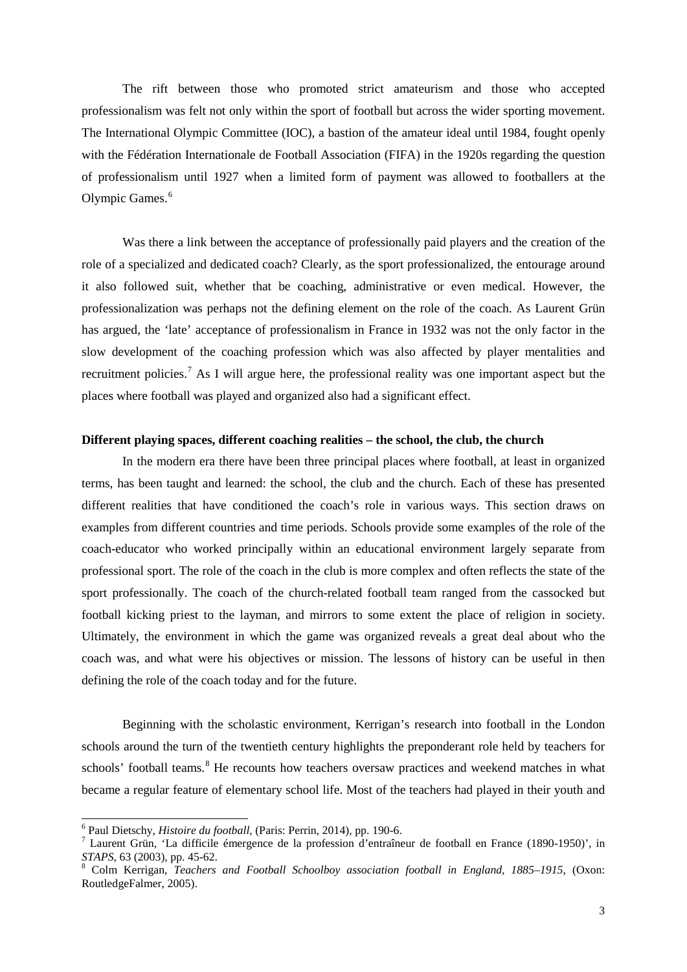The rift between those who promoted strict amateurism and those who accepted professionalism was felt not only within the sport of football but across the wider sporting movement. The International Olympic Committee (IOC), a bastion of the amateur ideal until 1984, fought openly with the Fédération Internationale de Football Association (FIFA) in the 1920s regarding the question of professionalism until 1927 when a limited form of payment was allowed to footballers at the Olympic Games.<sup>[6](#page-2-0)</sup>

Was there a link between the acceptance of professionally paid players and the creation of the role of a specialized and dedicated coach? Clearly, as the sport professionalized, the entourage around it also followed suit, whether that be coaching, administrative or even medical. However, the professionalization was perhaps not the defining element on the role of the coach. As Laurent Grün has argued, the 'late' acceptance of professionalism in France in 1932 was not the only factor in the slow development of the coaching profession which was also affected by player mentalities and recruitment policies.<sup>[7](#page-2-1)</sup> As I will argue here, the professional reality was one important aspect but the places where football was played and organized also had a significant effect.

### **Different playing spaces, different coaching realities – the school, the club, the church**

In the modern era there have been three principal places where football, at least in organized terms, has been taught and learned: the school, the club and the church. Each of these has presented different realities that have conditioned the coach's role in various ways. This section draws on examples from different countries and time periods. Schools provide some examples of the role of the coach-educator who worked principally within an educational environment largely separate from professional sport. The role of the coach in the club is more complex and often reflects the state of the sport professionally. The coach of the church-related football team ranged from the cassocked but football kicking priest to the layman, and mirrors to some extent the place of religion in society. Ultimately, the environment in which the game was organized reveals a great deal about who the coach was, and what were his objectives or mission. The lessons of history can be useful in then defining the role of the coach today and for the future.

Beginning with the scholastic environment, Kerrigan's research into football in the London schools around the turn of the twentieth century highlights the preponderant role held by teachers for schools' football teams.<sup>[8](#page-2-2)</sup> He recounts how teachers oversaw practices and weekend matches in what became a regular feature of elementary school life. Most of the teachers had played in their youth and

<span id="page-2-1"></span><span id="page-2-0"></span>

<sup>&</sup>lt;sup>6</sup> Paul Dietschy, *Histoire du football*, (Paris: Perrin, 2014), pp. 190-6.<br><sup>7</sup> Laurent Grün, 'La difficile émergence de la profession d'entraîneur de football en France (1890-1950)', in *STAPS*, 63 (2003), pp. 45-62.

<span id="page-2-2"></span><sup>&</sup>lt;sup>8</sup> Colm Kerrigan, *Teachers and Football Schoolboy association football in England, 1885–1915*, (Oxon: RoutledgeFalmer, 2005).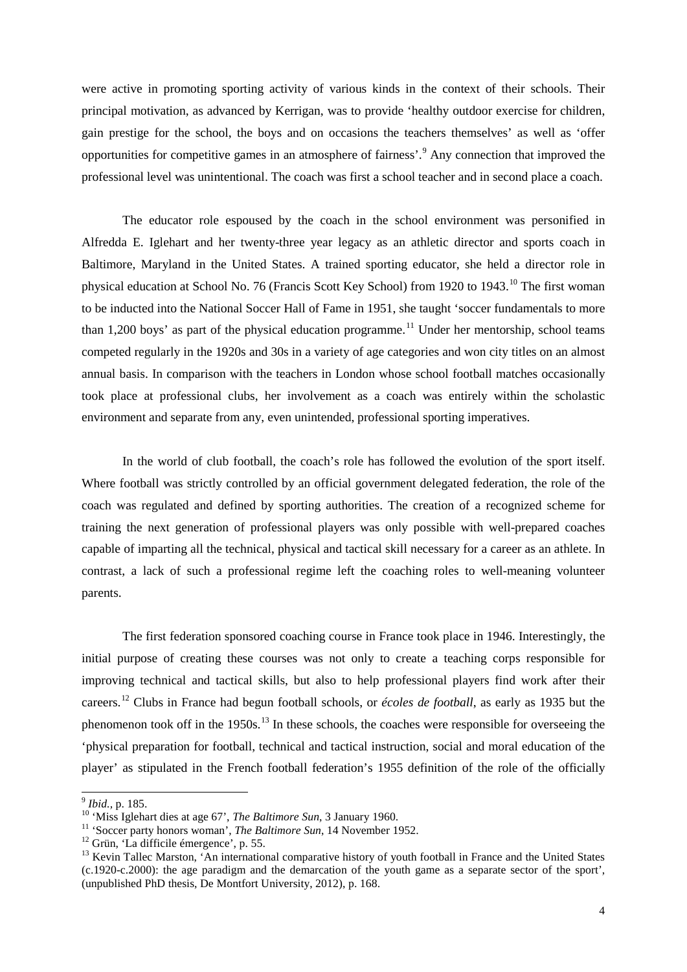were active in promoting sporting activity of various kinds in the context of their schools. Their principal motivation, as advanced by Kerrigan, was to provide 'healthy outdoor exercise for children, gain prestige for the school, the boys and on occasions the teachers themselves' as well as 'offer opportunities for competitive games in an atmosphere of fairness'.[9](#page-3-0) Any connection that improved the professional level was unintentional. The coach was first a school teacher and in second place a coach.

The educator role espoused by the coach in the school environment was personified in Alfredda E. Iglehart and her twenty-three year legacy as an athletic director and sports coach in Baltimore, Maryland in the United States. A trained sporting educator, she held a director role in physical education at School No. 76 (Francis Scott Key School) from 1920 to 1943.<sup>[10](#page-3-1)</sup> The first woman to be inducted into the National Soccer Hall of Fame in 1951, she taught 'soccer fundamentals to more than 1,200 boys' as part of the physical education programme.<sup>[11](#page-3-2)</sup> Under her mentorship, school teams competed regularly in the 1920s and 30s in a variety of age categories and won city titles on an almost annual basis. In comparison with the teachers in London whose school football matches occasionally took place at professional clubs, her involvement as a coach was entirely within the scholastic environment and separate from any, even unintended, professional sporting imperatives.

In the world of club football, the coach's role has followed the evolution of the sport itself. Where football was strictly controlled by an official government delegated federation, the role of the coach was regulated and defined by sporting authorities. The creation of a recognized scheme for training the next generation of professional players was only possible with well-prepared coaches capable of imparting all the technical, physical and tactical skill necessary for a career as an athlete. In contrast, a lack of such a professional regime left the coaching roles to well-meaning volunteer parents.

The first federation sponsored coaching course in France took place in 1946. Interestingly, the initial purpose of creating these courses was not only to create a teaching corps responsible for improving technical and tactical skills, but also to help professional players find work after their careers.[12](#page-3-3) Clubs in France had begun football schools, or *écoles de football*, as early as 1935 but the phenomenon took off in the 1950s.<sup>[13](#page-3-4)</sup> In these schools, the coaches were responsible for overseeing the 'physical preparation for football, technical and tactical instruction, social and moral education of the player' as stipulated in the French football federation's 1955 definition of the role of the officially

<span id="page-3-0"></span> $9$  Ibid., p. 185.

<span id="page-3-2"></span>

<span id="page-3-4"></span><span id="page-3-3"></span>

<span id="page-3-1"></span><sup>&</sup>lt;sup>10</sup> 'Miss Iglehart dies at age 67', *The Baltimore Sun*, 3 January 1960.<br><sup>11</sup> 'Soccer party honors woman', *The Baltimore Sun*, 14 November 1952.<br><sup>12</sup> Grün, 'La difficile émergence', p. 55.<br><sup>13</sup> Kevin Tallec Marston, 'An (c.1920-c.2000): the age paradigm and the demarcation of the youth game as a separate sector of the sport', (unpublished PhD thesis, De Montfort University, 2012), p. 168.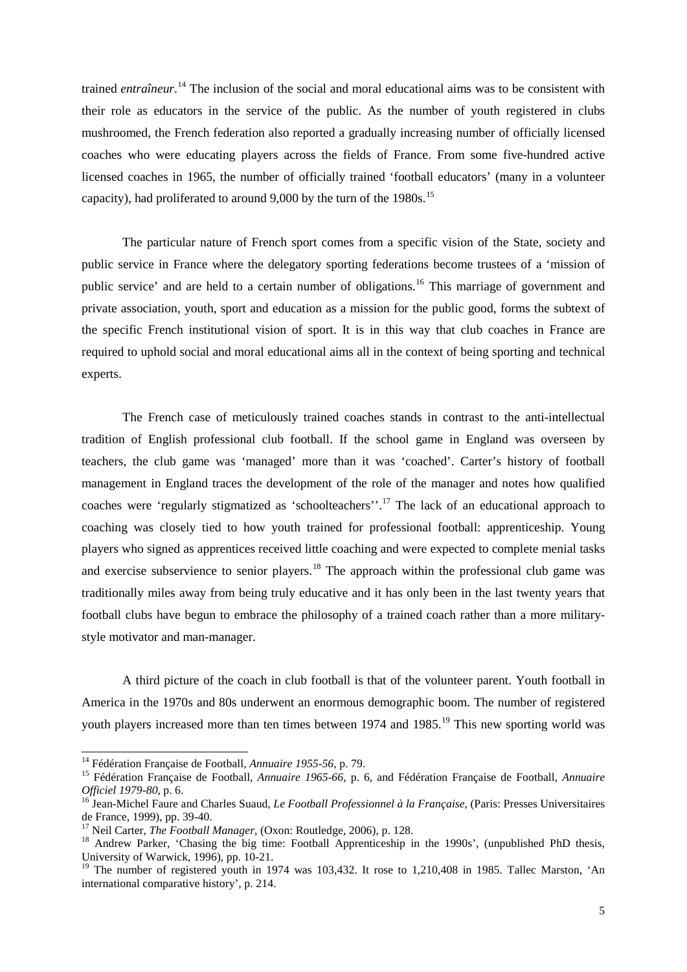trained *entraîneur*. [14](#page-4-0) The inclusion of the social and moral educational aims was to be consistent with their role as educators in the service of the public. As the number of youth registered in clubs mushroomed, the French federation also reported a gradually increasing number of officially licensed coaches who were educating players across the fields of France. From some five-hundred active licensed coaches in 1965, the number of officially trained 'football educators' (many in a volunteer capacity), had proliferated to around 9,000 by the turn of the  $1980s$ .<sup>[15](#page-4-1)</sup>

The particular nature of French sport comes from a specific vision of the State, society and public service in France where the delegatory sporting federations become trustees of a 'mission of public service' and are held to a certain number of obligations.<sup>[16](#page-4-2)</sup> This marriage of government and private association, youth, sport and education as a mission for the public good, forms the subtext of the specific French institutional vision of sport. It is in this way that club coaches in France are required to uphold social and moral educational aims all in the context of being sporting and technical experts.

The French case of meticulously trained coaches stands in contrast to the anti-intellectual tradition of English professional club football. If the school game in England was overseen by teachers, the club game was 'managed' more than it was 'coached'. Carter's history of football management in England traces the development of the role of the manager and notes how qualified coaches were 'regularly stigmatized as 'schoolteachers''.[17](#page-4-3) The lack of an educational approach to coaching was closely tied to how youth trained for professional football: apprenticeship. Young players who signed as apprentices received little coaching and were expected to complete menial tasks and exercise subservience to senior players.<sup>[18](#page-4-4)</sup> The approach within the professional club game was traditionally miles away from being truly educative and it has only been in the last twenty years that football clubs have begun to embrace the philosophy of a trained coach rather than a more militarystyle motivator and man-manager.

A third picture of the coach in club football is that of the volunteer parent. Youth football in America in the 1970s and 80s underwent an enormous demographic boom. The number of registered youth players increased more than ten times between [19](#page-4-5)74 and 1985.<sup>19</sup> This new sporting world was

<span id="page-4-0"></span><sup>&</sup>lt;sup>14</sup> Fédération Francaise de Football, Annuaire 1955-56, p. 79.

<span id="page-4-1"></span><sup>&</sup>lt;sup>15</sup> Fédération Française de Football, *Annuaire 1965-66*, p. 6, and Fédération Française de Football, *Annuaire* 

<span id="page-4-2"></span>*Officiel 1979-80*, p. 6.<br><sup>16</sup> Jean-Michel Faure and Charles Suaud, *Le Football Professionnel à la Française*, (Paris: Presses Universitaires de France, 1999), pp. 39-40.

<span id="page-4-4"></span><span id="page-4-3"></span><sup>&</sup>lt;sup>17</sup> Neil Carter, *The Football Manager*, (Oxon: Routledge, 2006), p. 128.<br><sup>18</sup> Andrew Parker, 'Chasing the big time: Football Apprenticeship in the 1990s', (unpublished PhD thesis, University of Warwick, 1996), pp. 10-21.

<span id="page-4-5"></span><sup>&</sup>lt;sup>19</sup> The number of registered youth in 1974 was 103,432. It rose to 1,210,408 in 1985. Tallec Marston, 'An international comparative history', p. 214.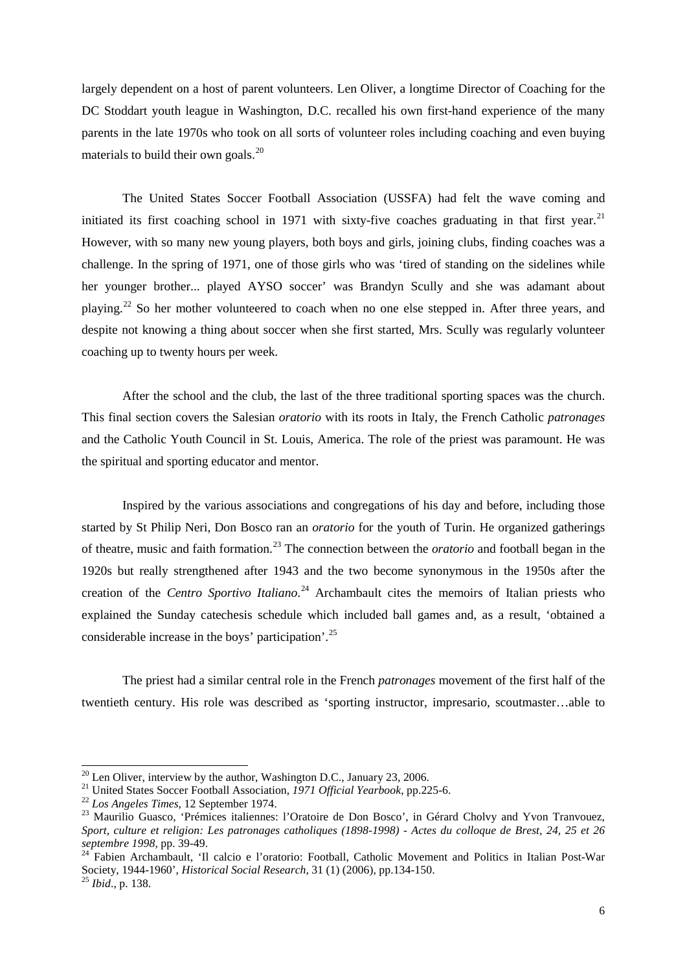largely dependent on a host of parent volunteers. Len Oliver, a longtime Director of Coaching for the DC Stoddart youth league in Washington, D.C. recalled his own first-hand experience of the many parents in the late 1970s who took on all sorts of volunteer roles including coaching and even buying materials to build their own goals.<sup>[20](#page-5-0)</sup>

The United States Soccer Football Association (USSFA) had felt the wave coming and initiated its first coaching school in 1971 with sixty-five coaches graduating in that first year.<sup>[21](#page-5-1)</sup> However, with so many new young players, both boys and girls, joining clubs, finding coaches was a challenge. In the spring of 1971, one of those girls who was 'tired of standing on the sidelines while her younger brother... played AYSO soccer' was Brandyn Scully and she was adamant about playing.<sup>[22](#page-5-2)</sup> So her mother volunteered to coach when no one else stepped in. After three years, and despite not knowing a thing about soccer when she first started, Mrs. Scully was regularly volunteer coaching up to twenty hours per week.

After the school and the club, the last of the three traditional sporting spaces was the church. This final section covers the Salesian *oratorio* with its roots in Italy, the French Catholic *patronages* and the Catholic Youth Council in St. Louis, America. The role of the priest was paramount. He was the spiritual and sporting educator and mentor.

Inspired by the various associations and congregations of his day and before, including those started by St Philip Neri, Don Bosco ran an *oratorio* for the youth of Turin. He organized gatherings of theatre, music and faith formation.[23](#page-5-3) The connection between the *oratorio* and football began in the 1920s but really strengthened after 1943 and the two become synonymous in the 1950s after the creation of the *Centro Sportivo Italiano*. [24](#page-5-4) Archambault cites the memoirs of Italian priests who explained the Sunday catechesis schedule which included ball games and, as a result, 'obtained a considerable increase in the boys' participation'.[25](#page-5-5)

The priest had a similar central role in the French *patronages* movement of the first half of the twentieth century. His role was described as 'sporting instructor, impresario, scoutmaster…able to

 $^{20}$  Len Oliver, interview by the author, Washington D.C., January 23, 2006.

<span id="page-5-3"></span>

<span id="page-5-2"></span><span id="page-5-1"></span><span id="page-5-0"></span><sup>&</sup>lt;sup>21</sup> United States Soccer Football Association, 1971 Official Yearbook, pp.225-6.<br><sup>22</sup> Los Angeles Times, 12 September 1974.<br><sup>23</sup> Maurilio Guasco. 'Prémices italiennes: l'Oratoire de Don Bosco'. in Gérard Cholvy and Yvon *Sport, culture et religion: Les patronages catholiques (1898-1998) - Actes du colloque de Brest, 24, 25 et 26* 

<span id="page-5-4"></span>Fabien Archambault, 'Il calcio e l'oratorio: Football, Catholic Movement and Politics in Italian Post-War Society, 1944-1960', *Historical Social Research*, 31 (1) (2006), pp.134-150. <sup>25</sup> *Ibid*., p. 138.

<span id="page-5-5"></span>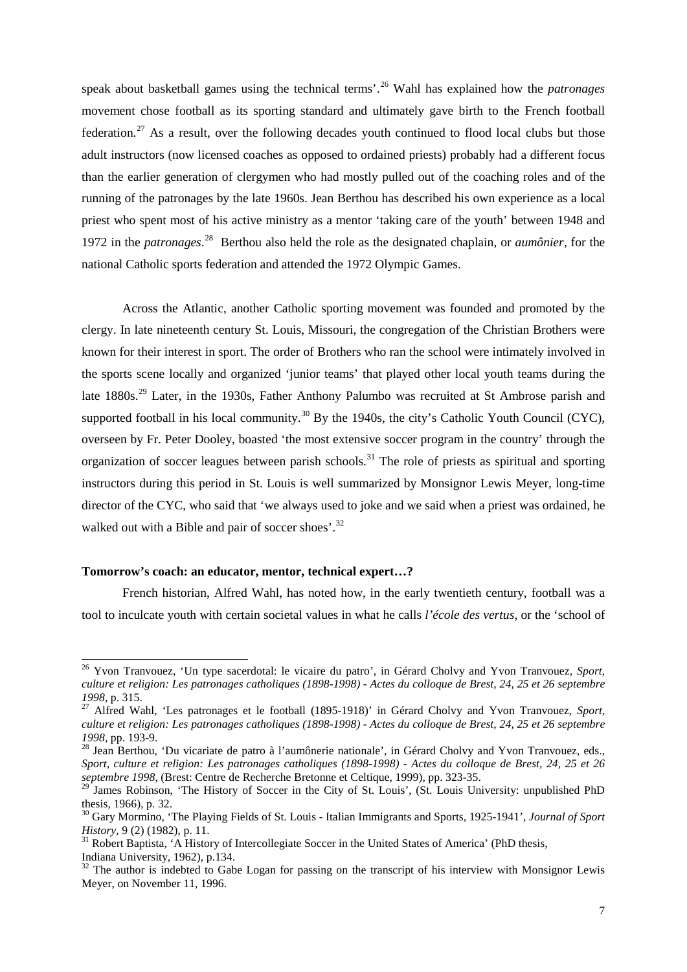speak about basketball games using the technical terms'.[26](#page-6-0) Wahl has explained how the *patronages* movement chose football as its sporting standard and ultimately gave birth to the French football federation.<sup>[27](#page-6-1)</sup> As a result, over the following decades youth continued to flood local clubs but those adult instructors (now licensed coaches as opposed to ordained priests) probably had a different focus than the earlier generation of clergymen who had mostly pulled out of the coaching roles and of the running of the patronages by the late 1960s. Jean Berthou has described his own experience as a local priest who spent most of his active ministry as a mentor 'taking care of the youth' between 1948 and 1972 in the *patronages*. [28](#page-6-2) Berthou also held the role as the designated chaplain, or *aumônier*, for the national Catholic sports federation and attended the 1972 Olympic Games.

Across the Atlantic, another Catholic sporting movement was founded and promoted by the clergy. In late nineteenth century St. Louis, Missouri, the congregation of the Christian Brothers were known for their interest in sport. The order of Brothers who ran the school were intimately involved in the sports scene locally and organized 'junior teams' that played other local youth teams during the late 1880s.<sup>[29](#page-6-3)</sup> Later, in the 1930s, Father Anthony Palumbo was recruited at St Ambrose parish and supported football in his local community.<sup>[30](#page-6-4)</sup> By the 1940s, the city's Catholic Youth Council (CYC), overseen by Fr. Peter Dooley, boasted 'the most extensive soccer program in the country' through the organization of soccer leagues between parish schools.<sup>[31](#page-6-5)</sup> The role of priests as spiritual and sporting instructors during this period in St. Louis is well summarized by Monsignor Lewis Meyer, long-time director of the CYC, who said that 'we always used to joke and we said when a priest was ordained, he walked out with a Bible and pair of soccer shoes'.<sup>[32](#page-6-6)</sup>

#### **Tomorrow's coach: an educator, mentor, technical expert…?**

 $\overline{a}$ 

French historian, Alfred Wahl, has noted how, in the early twentieth century, football was a tool to inculcate youth with certain societal values in what he calls *l'école des vertus*, or the 'school of

<span id="page-6-0"></span><sup>26</sup> Yvon Tranvouez, 'Un type sacerdotal: le vicaire du patro', in Gérard Cholvy and Yvon Tranvouez, *Sport, culture et religion: Les patronages catholiques (1898-1998) - Actes du colloque de Brest, 24, 25 et 26 septembre <sup>1998</sup>*, p. 315. <sup>27</sup> Alfred Wahl, 'Les patronages et le football (1895-1918)' in Gérard Cholvy and Yvon Tranvouez, *Sport,* 

<span id="page-6-1"></span>*culture et religion: Les patronages catholiques (1898-1998) - Actes du colloque de Brest, 24, 25 et 26 septembre 1998*, pp. 193-9.<br><sup>28</sup> Jean Berthou, 'Du vicariate de patro à l'aumônerie nationale', in Gérard Cholvy and Yvon Tranvouez, eds.,

<span id="page-6-2"></span>*Sport, culture et religion: Les patronages catholiques (1898-1998) - Actes du colloque de Brest, 24, 25 et 26 septembre 1998*, (Brest: Centre de Recherche Bretonne et Celtique, 1999), pp. 323-35.

<span id="page-6-3"></span><sup>&</sup>lt;sup>29</sup> James Robinson, 'The History of Soccer in the City of St. Louis', (St. Louis University: unpublished PhD thesis, 1966), p. 32.

<span id="page-6-4"></span><sup>30</sup> Gary Mormino, 'The Playing Fields of St. Louis - Italian Immigrants and Sports, 1925-1941', *Journal of Sport History*, 9 (2) (1982), p. 11.<br><sup>31</sup> Robert Baptista, 'A History of Intercollegiate Soccer in the United States of America' (PhD thesis,

<span id="page-6-5"></span>Indiana University, 1962), p.134.

<span id="page-6-6"></span> $32$  The author is indebted to Gabe Logan for passing on the transcript of his interview with Monsignor Lewis Meyer, on November 11, 1996.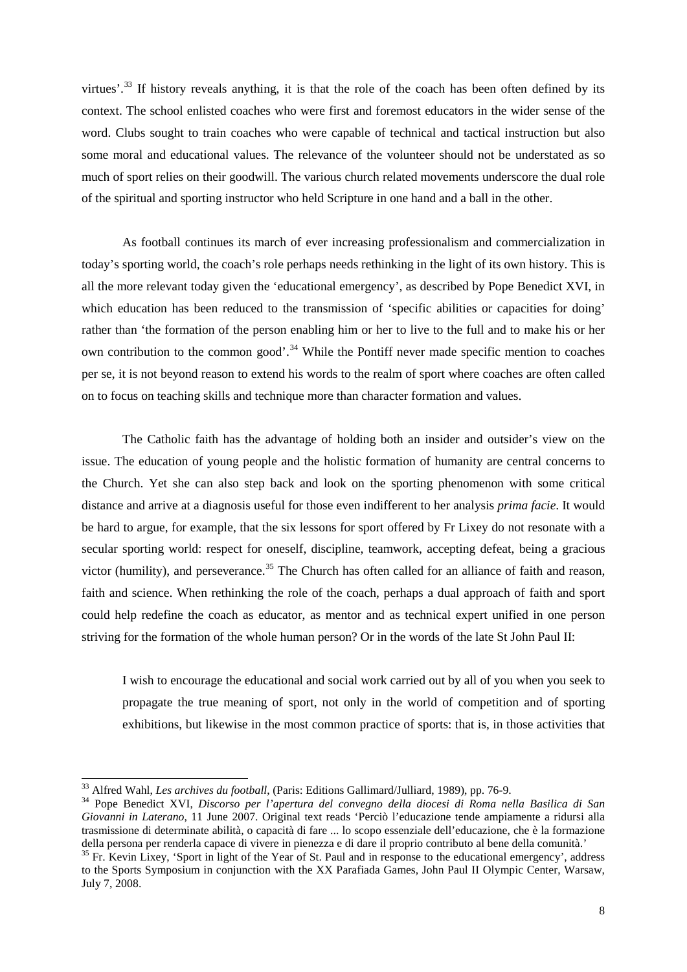virtues'.<sup>[33](#page-7-0)</sup> If history reveals anything, it is that the role of the coach has been often defined by its context. The school enlisted coaches who were first and foremost educators in the wider sense of the word. Clubs sought to train coaches who were capable of technical and tactical instruction but also some moral and educational values. The relevance of the volunteer should not be understated as so much of sport relies on their goodwill. The various church related movements underscore the dual role of the spiritual and sporting instructor who held Scripture in one hand and a ball in the other.

As football continues its march of ever increasing professionalism and commercialization in today's sporting world, the coach's role perhaps needs rethinking in the light of its own history. This is all the more relevant today given the 'educational emergency', as described by Pope Benedict XVI, in which education has been reduced to the transmission of 'specific abilities or capacities for doing' rather than 'the formation of the person enabling him or her to live to the full and to make his or her own contribution to the common good'.<sup>[34](#page-7-1)</sup> While the Pontiff never made specific mention to coaches per se, it is not beyond reason to extend his words to the realm of sport where coaches are often called on to focus on teaching skills and technique more than character formation and values.

The Catholic faith has the advantage of holding both an insider and outsider's view on the issue. The education of young people and the holistic formation of humanity are central concerns to the Church. Yet she can also step back and look on the sporting phenomenon with some critical distance and arrive at a diagnosis useful for those even indifferent to her analysis *prima facie*. It would be hard to argue, for example, that the six lessons for sport offered by Fr Lixey do not resonate with a secular sporting world: respect for oneself, discipline, teamwork, accepting defeat, being a gracious victor (humility), and perseverance.<sup>[35](#page-7-2)</sup> The Church has often called for an alliance of faith and reason, faith and science. When rethinking the role of the coach, perhaps a dual approach of faith and sport could help redefine the coach as educator, as mentor and as technical expert unified in one person striving for the formation of the whole human person? Or in the words of the late St John Paul II:

I wish to encourage the educational and social work carried out by all of you when you seek to propagate the true meaning of sport, not only in the world of competition and of sporting exhibitions, but likewise in the most common practice of sports: that is, in those activities that

<span id="page-7-0"></span><sup>&</sup>lt;sup>33</sup> Alfred Wahl, *Les archives du football*, (Paris: Editions Gallimard/Julliard, 1989), pp. 76-9.

<span id="page-7-1"></span><sup>&</sup>lt;sup>34</sup> Pope Benedict XVI, *Discorso per l'apertura del convegno della diocesi di Roma nella Basilica di San Giovanni in Laterano*, 11 June 2007. Original text reads 'Perciò l'educazione tende ampiamente a ridursi alla trasmissione di determinate abilità, o capacità di fare ... lo scopo essenziale dell'educazione, che è la formazione

<span id="page-7-2"></span><sup>&</sup>lt;sup>35</sup> Fr. Kevin Lixey, 'Sport in light of the Year of St. Paul and in response to the educational emergency', address to the Sports Symposium in conjunction with the XX Parafiada Games, John Paul II Olympic Center, Warsaw, July 7, 2008.